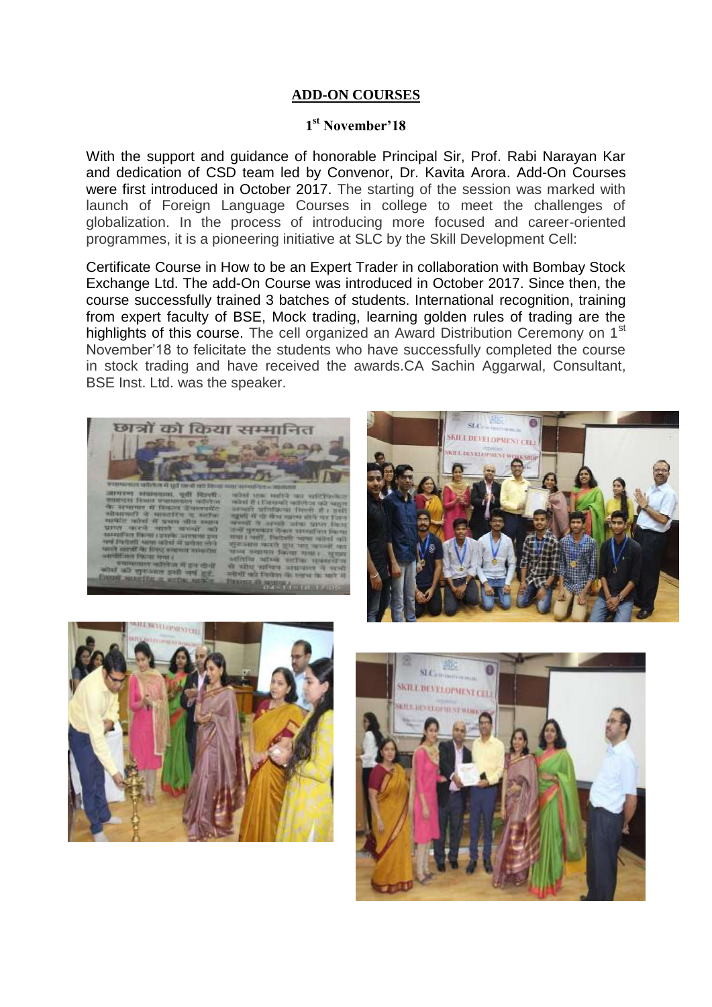## **ADD-ON COURSES**

## **1 st November'18**

With the support and guidance of honorable Principal Sir, Prof. Rabi Narayan Kar and dedication of CSD team led by Convenor, Dr. Kavita Arora. Add-On Courses were first introduced in October 2017. The starting of the session was marked with launch of Foreign Language Courses in college to meet the challenges of globalization. In the process of introducing more focused and career-oriented programmes, it is a pioneering initiative at SLC by the Skill Development Cell:

Certificate Course in How to be an Expert Trader in collaboration with Bombay Stock Exchange Ltd. The add-On Course was introduced in October 2017. Since then, the course successfully trained 3 batches of students. International recognition, training from expert faculty of BSE, Mock trading, learning golden rules of trading are the highlights of this course. The cell organized an Award Distribution Ceremony on 1<sup>st</sup> November'18 to felicitate the students who have successfully completed the course in stock trading and have received the awards.CA Sachin Aggarwal, Consultant, BSE Inst. Ltd. was the speaker.